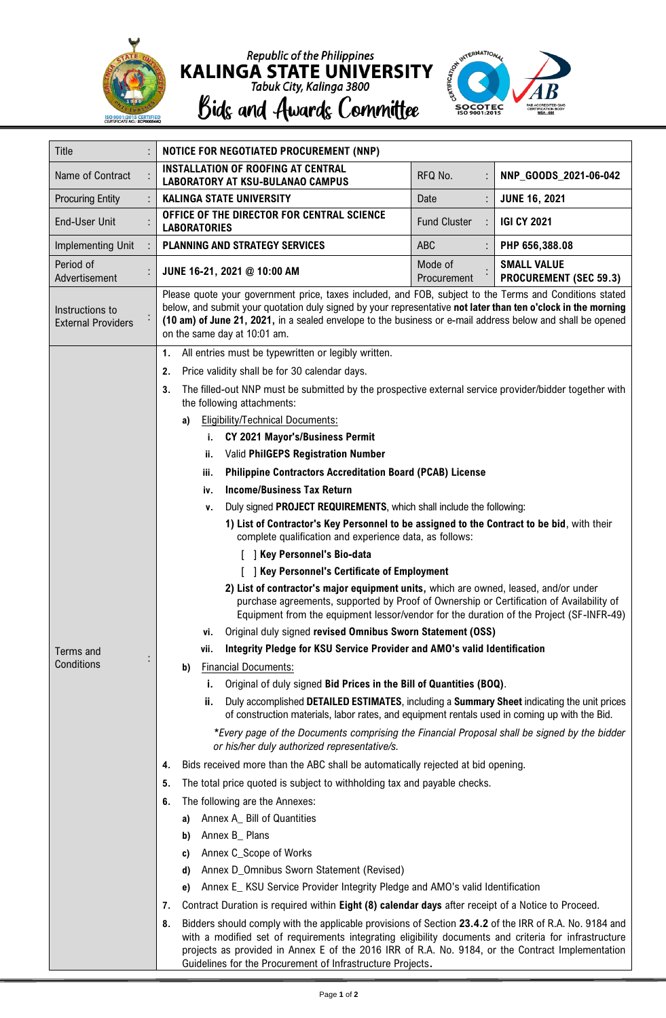

Republic of the Philippines<br> **KALINGA STATE UNIVERSITY**<br>
Tabuk City, Kalinga 3800<br> **Bidg and Awardg Committee** 



| Title                                        | NOTICE FOR NEGOTIATED PROCUREMENT (NNP)                                                                                                                                                                                                                                                                                                                                |  |  |  |
|----------------------------------------------|------------------------------------------------------------------------------------------------------------------------------------------------------------------------------------------------------------------------------------------------------------------------------------------------------------------------------------------------------------------------|--|--|--|
| Name of Contract                             | <b>INSTALLATION OF ROOFING AT CENTRAL</b><br>RFQ No.<br>NNP GOODS 2021-06-042<br><b>LABORATORY AT KSU-BULANAO CAMPUS</b>                                                                                                                                                                                                                                               |  |  |  |
| <b>Procuring Entity</b>                      | <b>KALINGA STATE UNIVERSITY</b><br><b>JUNE 16, 2021</b><br>Date                                                                                                                                                                                                                                                                                                        |  |  |  |
| <b>End-User Unit</b>                         | OFFICE OF THE DIRECTOR FOR CENTRAL SCIENCE<br><b>Fund Cluster</b><br><b>IGI CY 2021</b><br><b>LABORATORIES</b>                                                                                                                                                                                                                                                         |  |  |  |
| Implementing Unit                            | <b>PLANNING AND STRATEGY SERVICES</b><br>ABC<br>PHP 656,388.08                                                                                                                                                                                                                                                                                                         |  |  |  |
| Period of<br>Advertisement                   | <b>SMALL VALUE</b><br>Mode of<br>JUNE 16-21, 2021 @ 10:00 AM<br><b>PROCUREMENT (SEC 59.3)</b><br>Procurement                                                                                                                                                                                                                                                           |  |  |  |
| Instructions to<br><b>External Providers</b> | Please quote your government price, taxes included, and FOB, subject to the Terms and Conditions stated<br>below, and submit your quotation duly signed by your representative not later than ten o'clock in the morning<br>(10 am) of June 21, 2021, in a sealed envelope to the business or e-mail address below and shall be opened<br>on the same day at 10:01 am. |  |  |  |
|                                              | All entries must be typewritten or legibly written.<br>$\mathbf{1}$ .                                                                                                                                                                                                                                                                                                  |  |  |  |
|                                              | Price validity shall be for 30 calendar days.<br>2.                                                                                                                                                                                                                                                                                                                    |  |  |  |
|                                              | The filled-out NNP must be submitted by the prospective external service provider/bidder together with<br>3.<br>the following attachments:                                                                                                                                                                                                                             |  |  |  |
|                                              | <b>Eligibility/Technical Documents:</b><br>a)                                                                                                                                                                                                                                                                                                                          |  |  |  |
|                                              | CY 2021 Mayor's/Business Permit<br>i.                                                                                                                                                                                                                                                                                                                                  |  |  |  |
|                                              | <b>Valid PhilGEPS Registration Number</b><br>ii.                                                                                                                                                                                                                                                                                                                       |  |  |  |
|                                              | <b>Philippine Contractors Accreditation Board (PCAB) License</b><br>iii.                                                                                                                                                                                                                                                                                               |  |  |  |
|                                              | <b>Income/Business Tax Return</b><br>iv.                                                                                                                                                                                                                                                                                                                               |  |  |  |
|                                              | Duly signed PROJECT REQUIREMENTS, which shall include the following:<br>۷.                                                                                                                                                                                                                                                                                             |  |  |  |
|                                              | 1) List of Contractor's Key Personnel to be assigned to the Contract to be bid, with their<br>complete qualification and experience data, as follows:                                                                                                                                                                                                                  |  |  |  |
|                                              | [ ] Key Personnel's Bio-data                                                                                                                                                                                                                                                                                                                                           |  |  |  |
|                                              | Key Personnel's Certificate of Employment                                                                                                                                                                                                                                                                                                                              |  |  |  |
|                                              | 2) List of contractor's major equipment units, which are owned, leased, and/or under<br>purchase agreements, supported by Proof of Ownership or Certification of Availability of<br>Equipment from the equipment lessor/vendor for the duration of the Project (SF-INFR-49)                                                                                            |  |  |  |
|                                              | Original duly signed revised Omnibus Sworn Statement (OSS)<br>٧i.                                                                                                                                                                                                                                                                                                      |  |  |  |
| Terms and                                    | Integrity Pledge for KSU Service Provider and AMO's valid Identification<br>vii.                                                                                                                                                                                                                                                                                       |  |  |  |
| Conditions                                   | <b>Financial Documents:</b><br>b)                                                                                                                                                                                                                                                                                                                                      |  |  |  |
|                                              | Original of duly signed Bid Prices in the Bill of Quantities (BOQ).<br>i.                                                                                                                                                                                                                                                                                              |  |  |  |
|                                              | ii.<br>Duly accomplished DETAILED ESTIMATES, including a Summary Sheet indicating the unit prices<br>of construction materials, labor rates, and equipment rentals used in coming up with the Bid.                                                                                                                                                                     |  |  |  |
|                                              | *Every page of the Documents comprising the Financial Proposal shall be signed by the bidder<br>or his/her duly authorized representative/s.                                                                                                                                                                                                                           |  |  |  |
|                                              | Bids received more than the ABC shall be automatically rejected at bid opening.<br>4.                                                                                                                                                                                                                                                                                  |  |  |  |
|                                              | The total price quoted is subject to withholding tax and payable checks.<br>5.                                                                                                                                                                                                                                                                                         |  |  |  |
|                                              | The following are the Annexes:<br>6.                                                                                                                                                                                                                                                                                                                                   |  |  |  |
|                                              | Annex A_ Bill of Quantities<br>a)                                                                                                                                                                                                                                                                                                                                      |  |  |  |
|                                              | Annex B_ Plans<br>b)                                                                                                                                                                                                                                                                                                                                                   |  |  |  |
|                                              | Annex C_Scope of Works<br>C)                                                                                                                                                                                                                                                                                                                                           |  |  |  |
|                                              | Annex D_Omnibus Sworn Statement (Revised)<br>d)<br>Annex E_ KSU Service Provider Integrity Pledge and AMO's valid Identification<br>e)                                                                                                                                                                                                                                 |  |  |  |
|                                              | Contract Duration is required within Eight (8) calendar days after receipt of a Notice to Proceed.<br>7.                                                                                                                                                                                                                                                               |  |  |  |
|                                              | Bidders should comply with the applicable provisions of Section 23.4.2 of the IRR of R.A. No. 9184 and<br>8.                                                                                                                                                                                                                                                           |  |  |  |
|                                              | with a modified set of requirements integrating eligibility documents and criteria for infrastructure<br>projects as provided in Annex E of the 2016 IRR of R.A. No. 9184, or the Contract Implementation<br>Guidelines for the Procurement of Infrastructure Projects.                                                                                                |  |  |  |